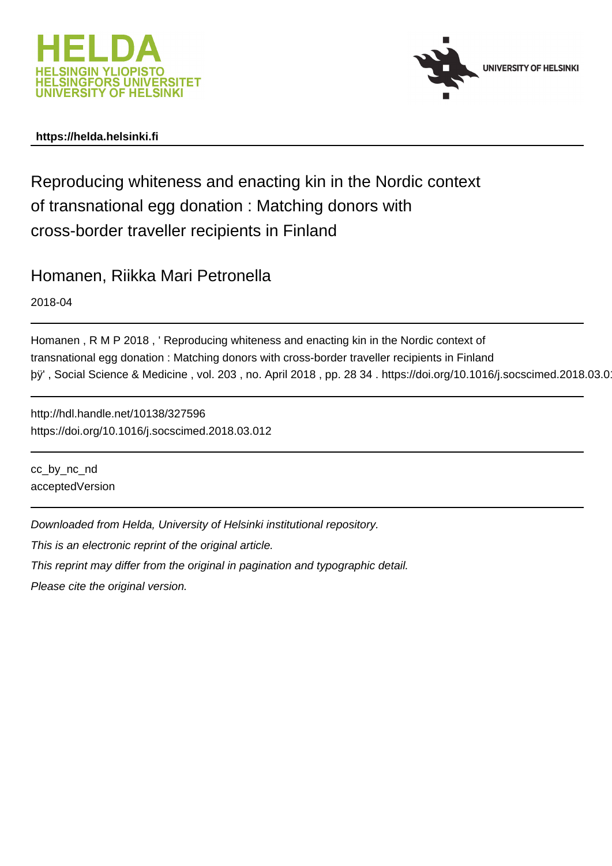



# **https://helda.helsinki.fi**

Reproducing whiteness and enacting kin in the Nordic context of transnational egg donation : Matching donors with cross-border traveller recipients in Finland

Homanen, Riikka Mari Petronella

2018-04

Homanen , R M P 2018 , ' Reproducing whiteness and enacting kin in the Nordic context of transnational egg donation : Matching donors with cross-border traveller recipients in Finland þÿ' , Social Science & Medicine , vol. 203 , no. April 2018 , pp. 28 34 . https://doi.org/10.1016/j.socscimed.2018.03.012

http://hdl.handle.net/10138/327596 https://doi.org/10.1016/j.socscimed.2018.03.012

cc\_by\_nc\_nd acceptedVersion

Downloaded from Helda, University of Helsinki institutional repository.

This is an electronic reprint of the original article.

This reprint may differ from the original in pagination and typographic detail.

Please cite the original version.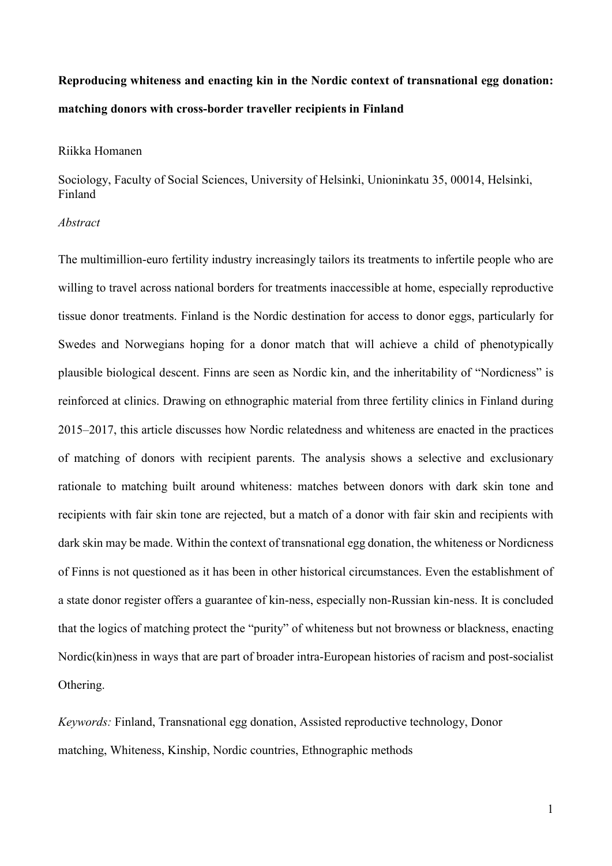# **Reproducing whiteness and enacting kin in the Nordic context of transnational egg donation: matching donors with cross-border traveller recipients in Finland**

#### Riikka Homanen

Sociology, Faculty of Social Sciences, University of Helsinki, Unioninkatu 35, 00014, Helsinki, Finland

## *Abstract*

The multimillion-euro fertility industry increasingly tailors its treatments to infertile people who are willing to travel across national borders for treatments inaccessible at home, especially reproductive tissue donor treatments. Finland is the Nordic destination for access to donor eggs, particularly for Swedes and Norwegians hoping for a donor match that will achieve a child of phenotypically plausible biological descent. Finns are seen as Nordic kin, and the inheritability of "Nordicness" is reinforced at clinics. Drawing on ethnographic material from three fertility clinics in Finland during 2015–2017, this article discusses how Nordic relatedness and whiteness are enacted in the practices of matching of donors with recipient parents. The analysis shows a selective and exclusionary rationale to matching built around whiteness: matches between donors with dark skin tone and recipients with fair skin tone are rejected, but a match of a donor with fair skin and recipients with dark skin may be made. Within the context of transnational egg donation, the whiteness or Nordicness of Finns is not questioned as it has been in other historical circumstances. Even the establishment of a state donor register offers a guarantee of kin-ness, especially non-Russian kin-ness. It is concluded that the logics of matching protect the "purity" of whiteness but not browness or blackness, enacting Nordic(kin)ness in ways that are part of broader intra-European histories of racism and post-socialist Othering.

*Keywords:* Finland, Transnational egg donation, Assisted reproductive technology, Donor matching, Whiteness, Kinship, Nordic countries, Ethnographic methods

1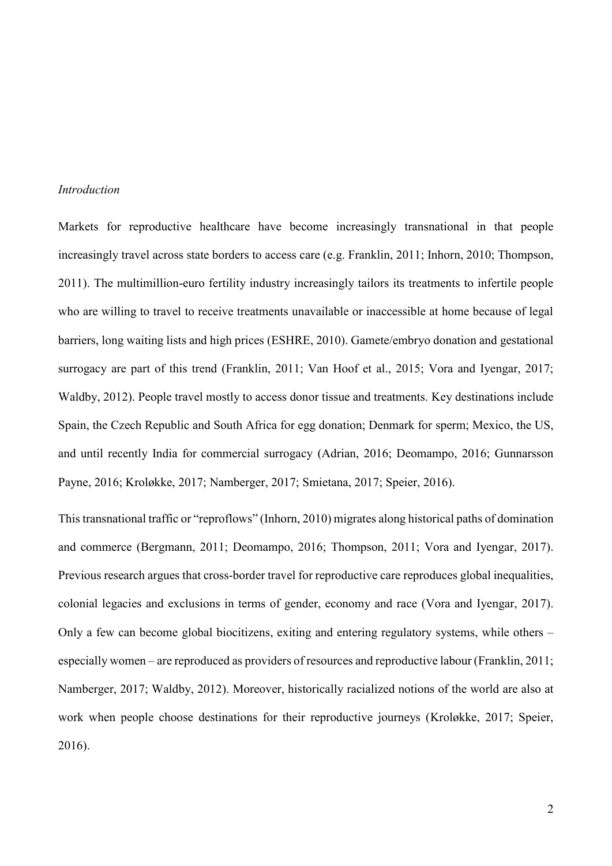# *Introduction*

Markets for reproductive healthcare have become increasingly transnational in that people increasingly travel across state borders to access care (e.g. Franklin, 2011; Inhorn, 2010; Thompson, 2011). The multimillion-euro fertility industry increasingly tailors its treatments to infertile people who are willing to travel to receive treatments unavailable or inaccessible at home because of legal barriers, long waiting lists and high prices (ESHRE, 2010). Gamete/embryo donation and gestational surrogacy are part of this trend (Franklin, 2011; Van Hoof et al., 2015; Vora and Iyengar, 2017; Waldby, 2012). People travel mostly to access donor tissue and treatments. Key destinations include Spain, the Czech Republic and South Africa for egg donation; Denmark for sperm; Mexico, the US, and until recently India for commercial surrogacy (Adrian, 2016; Deomampo, 2016; Gunnarsson Payne, 2016; Kroløkke, 2017; Namberger, 2017; Smietana, 2017; Speier, 2016).

Thistransnational traffic or "reproflows" (Inhorn, 2010) migrates along historical paths of domination and commerce (Bergmann, 2011; Deomampo, 2016; Thompson, 2011; Vora and Iyengar, 2017). Previous research argues that cross-border travel for reproductive care reproduces global inequalities, colonial legacies and exclusions in terms of gender, economy and race (Vora and Iyengar, 2017). Only a few can become global biocitizens, exiting and entering regulatory systems, while others – especially women – are reproduced as providers of resources and reproductive labour (Franklin, 2011; Namberger, 2017; Waldby, 2012). Moreover, historically racialized notions of the world are also at work when people choose destinations for their reproductive journeys (Kroløkke, 2017; Speier, 2016).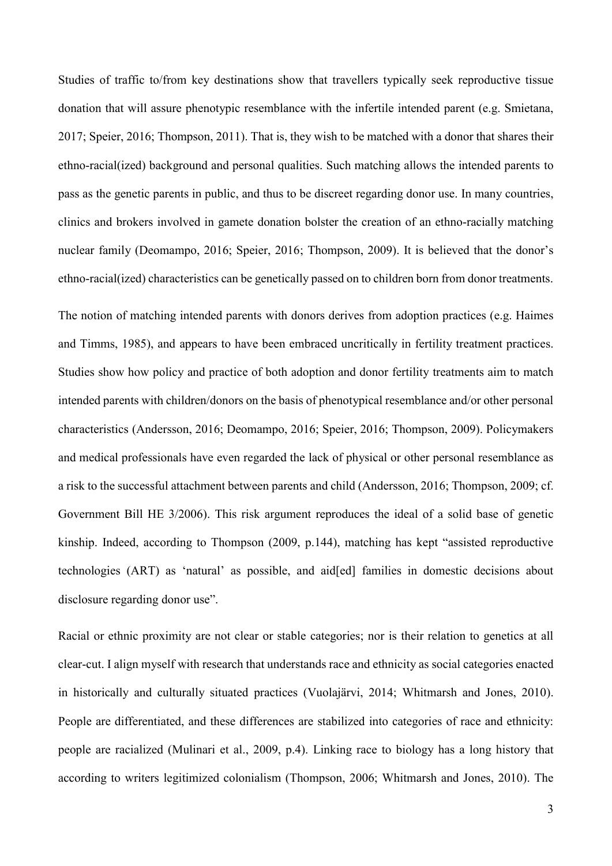Studies of traffic to/from key destinations show that travellers typically seek reproductive tissue donation that will assure phenotypic resemblance with the infertile intended parent (e.g. Smietana, 2017; Speier, 2016; Thompson, 2011). That is, they wish to be matched with a donor that shares their ethno-racial(ized) background and personal qualities. Such matching allows the intended parents to pass as the genetic parents in public, and thus to be discreet regarding donor use. In many countries, clinics and brokers involved in gamete donation bolster the creation of an ethno-racially matching nuclear family (Deomampo, 2016; Speier, 2016; Thompson, 2009). It is believed that the donor's ethno-racial(ized) characteristics can be genetically passed on to children born from donor treatments.

The notion of matching intended parents with donors derives from adoption practices (e.g. Haimes and Timms, 1985), and appears to have been embraced uncritically in fertility treatment practices. Studies show how policy and practice of both adoption and donor fertility treatments aim to match intended parents with children/donors on the basis of phenotypical resemblance and/or other personal characteristics (Andersson, 2016; Deomampo, 2016; Speier, 2016; Thompson, 2009). Policymakers and medical professionals have even regarded the lack of physical or other personal resemblance as a risk to the successful attachment between parents and child (Andersson, 2016; Thompson, 2009; cf. Government Bill HE 3/2006). This risk argument reproduces the ideal of a solid base of genetic kinship. Indeed, according to Thompson (2009, p.144), matching has kept "assisted reproductive technologies (ART) as 'natural' as possible, and aid[ed] families in domestic decisions about disclosure regarding donor use".

Racial or ethnic proximity are not clear or stable categories; nor is their relation to genetics at all clear-cut. I align myself with research that understands race and ethnicity as social categories enacted in historically and culturally situated practices (Vuolajärvi, 2014; Whitmarsh and Jones, 2010). People are differentiated, and these differences are stabilized into categories of race and ethnicity: people are racialized (Mulinari et al., 2009, p.4). Linking race to biology has a long history that according to writers legitimized colonialism (Thompson, 2006; Whitmarsh and Jones, 2010). The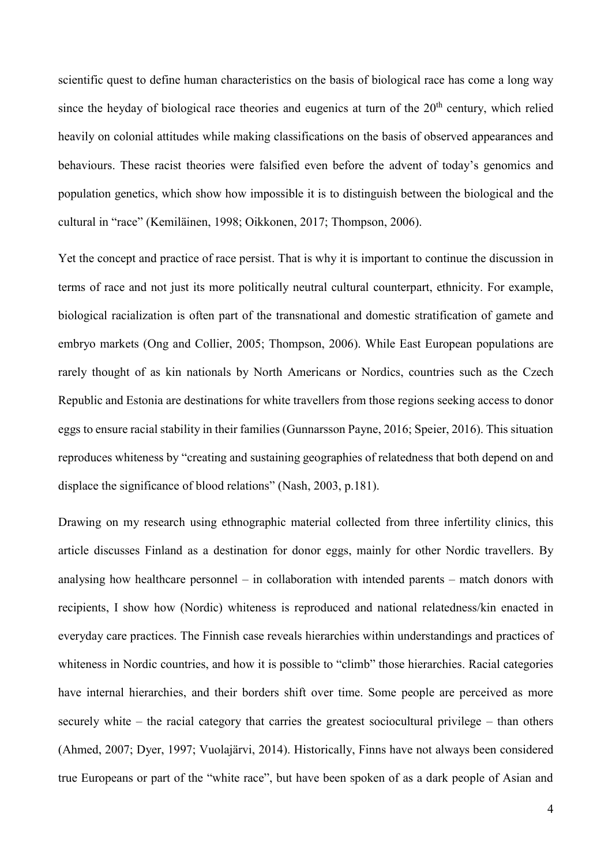scientific quest to define human characteristics on the basis of biological race has come a long way since the heyday of biological race theories and eugenics at turn of the  $20<sup>th</sup>$  century, which relied heavily on colonial attitudes while making classifications on the basis of observed appearances and behaviours. These racist theories were falsified even before the advent of today's genomics and population genetics, which show how impossible it is to distinguish between the biological and the cultural in "race" (Kemiläinen, 1998; Oikkonen, 2017; Thompson, 2006).

Yet the concept and practice of race persist. That is why it is important to continue the discussion in terms of race and not just its more politically neutral cultural counterpart, ethnicity. For example, biological racialization is often part of the transnational and domestic stratification of gamete and embryo markets (Ong and Collier, 2005; Thompson, 2006). While East European populations are rarely thought of as kin nationals by North Americans or Nordics, countries such as the Czech Republic and Estonia are destinations for white travellers from those regions seeking access to donor eggs to ensure racial stability in their families (Gunnarsson Payne, 2016; Speier, 2016). This situation reproduces whiteness by "creating and sustaining geographies of relatedness that both depend on and displace the significance of blood relations" (Nash, 2003, p.181).

Drawing on my research using ethnographic material collected from three infertility clinics, this article discusses Finland as a destination for donor eggs, mainly for other Nordic travellers. By analysing how healthcare personnel – in collaboration with intended parents – match donors with recipients, I show how (Nordic) whiteness is reproduced and national relatedness/kin enacted in everyday care practices. The Finnish case reveals hierarchies within understandings and practices of whiteness in Nordic countries, and how it is possible to "climb" those hierarchies. Racial categories have internal hierarchies, and their borders shift over time. Some people are perceived as more securely white – the racial category that carries the greatest sociocultural privilege – than others (Ahmed, 2007; Dyer, 1997; Vuolajärvi, 2014). Historically, Finns have not always been considered true Europeans or part of the "white race", but have been spoken of as a dark people of Asian and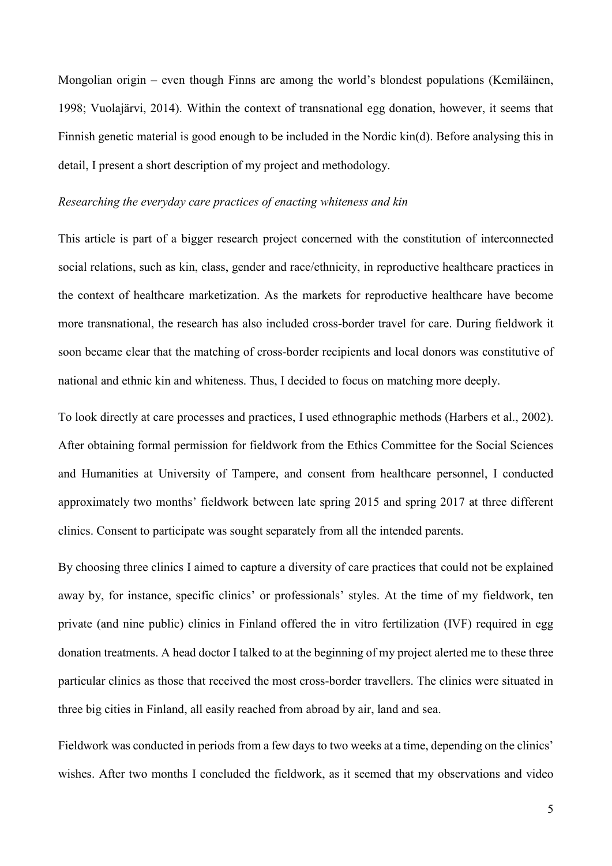Mongolian origin – even though Finns are among the world's blondest populations (Kemiläinen, 1998; Vuolajärvi, 2014). Within the context of transnational egg donation, however, it seems that Finnish genetic material is good enough to be included in the Nordic kin(d). Before analysing this in detail, I present a short description of my project and methodology.

#### *Researching the everyday care practices of enacting whiteness and kin*

This article is part of a bigger research project concerned with the constitution of interconnected social relations, such as kin, class, gender and race/ethnicity, in reproductive healthcare practices in the context of healthcare marketization. As the markets for reproductive healthcare have become more transnational, the research has also included cross-border travel for care. During fieldwork it soon became clear that the matching of cross-border recipients and local donors was constitutive of national and ethnic kin and whiteness. Thus, I decided to focus on matching more deeply.

To look directly at care processes and practices, I used ethnographic methods (Harbers et al., 2002). After obtaining formal permission for fieldwork from the Ethics Committee for the Social Sciences and Humanities at University of Tampere, and consent from healthcare personnel, I conducted approximately two months' fieldwork between late spring 2015 and spring 2017 at three different clinics. Consent to participate was sought separately from all the intended parents.

By choosing three clinics I aimed to capture a diversity of care practices that could not be explained away by, for instance, specific clinics' or professionals' styles. At the time of my fieldwork, ten private (and nine public) clinics in Finland offered the in vitro fertilization (IVF) required in egg donation treatments. A head doctor I talked to at the beginning of my project alerted me to these three particular clinics as those that received the most cross-border travellers. The clinics were situated in three big cities in Finland, all easily reached from abroad by air, land and sea.

Fieldwork was conducted in periods from a few days to two weeks at a time, depending on the clinics' wishes. After two months I concluded the fieldwork, as it seemed that my observations and video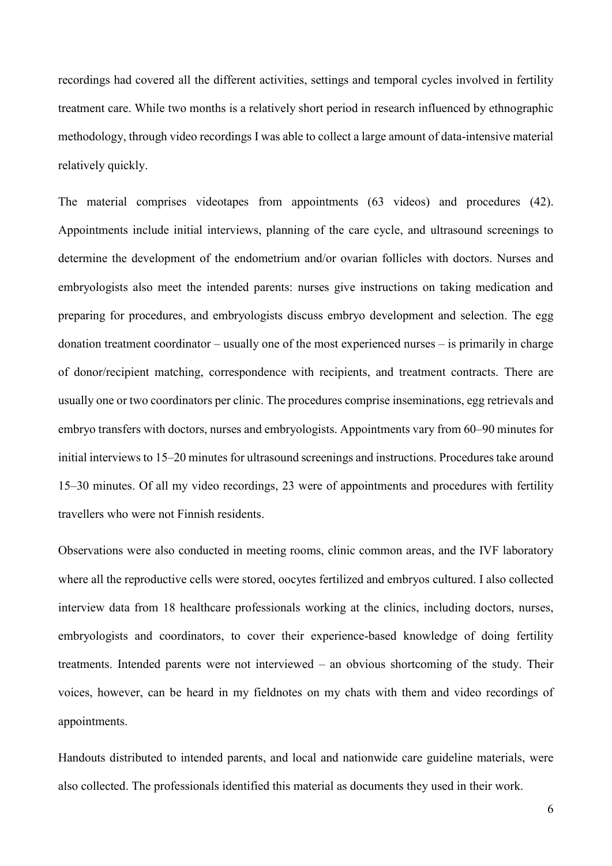recordings had covered all the different activities, settings and temporal cycles involved in fertility treatment care. While two months is a relatively short period in research influenced by ethnographic methodology, through video recordings I was able to collect a large amount of data-intensive material relatively quickly.

The material comprises videotapes from appointments (63 videos) and procedures (42). Appointments include initial interviews, planning of the care cycle, and ultrasound screenings to determine the development of the endometrium and/or ovarian follicles with doctors. Nurses and embryologists also meet the intended parents: nurses give instructions on taking medication and preparing for procedures, and embryologists discuss embryo development and selection. The egg donation treatment coordinator – usually one of the most experienced nurses – is primarily in charge of donor/recipient matching, correspondence with recipients, and treatment contracts. There are usually one or two coordinators per clinic. The procedures comprise inseminations, egg retrievals and embryo transfers with doctors, nurses and embryologists. Appointments vary from 60–90 minutes for initial interviews to 15–20 minutes for ultrasound screenings and instructions. Procedures take around 15–30 minutes. Of all my video recordings, 23 were of appointments and procedures with fertility travellers who were not Finnish residents.

Observations were also conducted in meeting rooms, clinic common areas, and the IVF laboratory where all the reproductive cells were stored, oocytes fertilized and embryos cultured. I also collected interview data from 18 healthcare professionals working at the clinics, including doctors, nurses, embryologists and coordinators, to cover their experience-based knowledge of doing fertility treatments. Intended parents were not interviewed – an obvious shortcoming of the study. Their voices, however, can be heard in my fieldnotes on my chats with them and video recordings of appointments.

Handouts distributed to intended parents, and local and nationwide care guideline materials, were also collected. The professionals identified this material as documents they used in their work.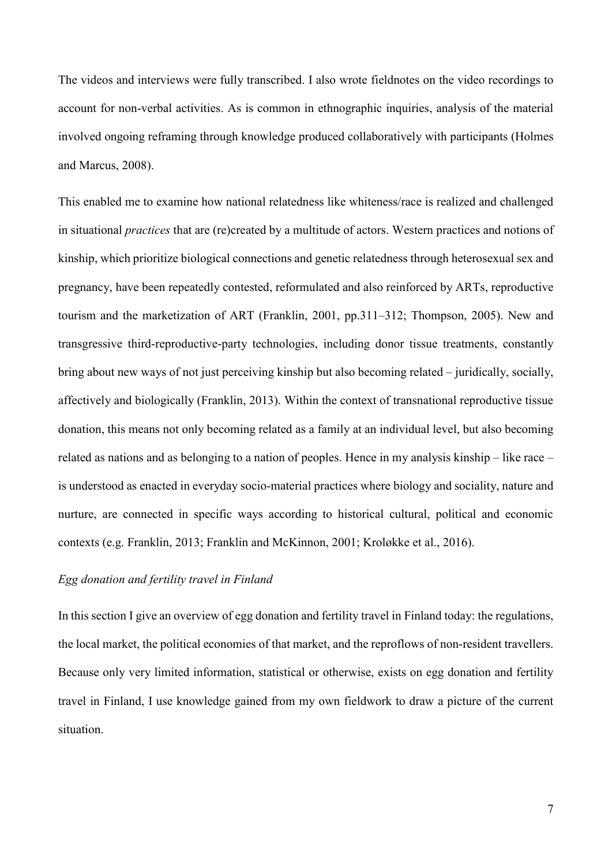The videos and interviews were fully transcribed. I also wrote fieldnotes on the video recordings to account for non-verbal activities. As is common in ethnographic inquiries, analysis of the material involved ongoing reframing through knowledge produced collaboratively with participants (Holmes and Marcus, 2008).

This enabled me to examine how national relatedness like whiteness/race is realized and challenged in situational *practices* that are (re)created by a multitude of actors. Western practices and notions of kinship, which prioritize biological connections and genetic relatedness through heterosexual sex and pregnancy, have been repeatedly contested, reformulated and also reinforced by ARTs, reproductive tourism and the marketization of ART (Franklin, 2001, pp.311–312; Thompson, 2005). New and transgressive third-reproductive-party technologies, including donor tissue treatments, constantly bring about new ways of not just perceiving kinship but also becoming related – juridically, socially, affectively and biologically (Franklin, 2013). Within the context of transnational reproductive tissue donation, this means not only becoming related as a family at an individual level, but also becoming related as nations and as belonging to a nation of peoples. Hence in my analysis kinship – like race – is understood as enacted in everyday socio-material practices where biology and sociality, nature and nurture, are connected in specific ways according to historical cultural, political and economic contexts (e.g. Franklin, 2013; Franklin and McKinnon, 2001; Kroløkke et al., 2016).

# *Egg donation and fertility travel in Finland*

In this section I give an overview of egg donation and fertility travel in Finland today: the regulations, the local market, the political economies of that market, and the reproflows of non-resident travellers. Because only very limited information, statistical or otherwise, exists on egg donation and fertility travel in Finland, I use knowledge gained from my own fieldwork to draw a picture of the current situation.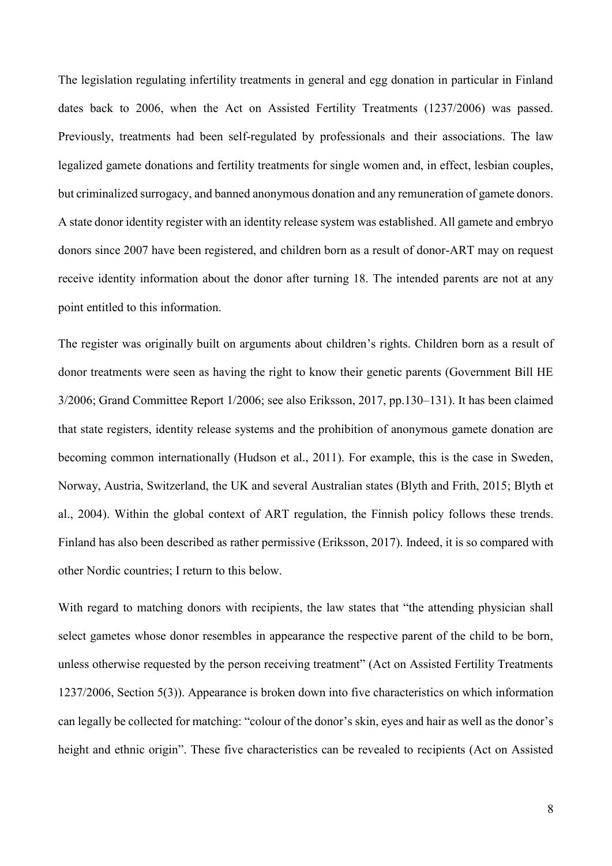The legislation regulating infertility treatments in general and egg donation in particular in Finland dates back to 2006, when the Act on Assisted Fertility Treatments (1237/2006) was passed. Previously, treatments had been self-regulated by professionals and their associations. The law legalized gamete donations and fertility treatments for single women and, in effect, lesbian couples, but criminalized surrogacy, and banned anonymous donation and any remuneration of gamete donors. A state donor identity register with an identity release system was established. All gamete and embryo donors since 2007 have been registered, and children born as a result of donor-ART may on request receive identity information about the donor after turning 18. The intended parents are not at any point entitled to this information.

The register was originally built on arguments about children's rights. Children born as a result of donor treatments were seen as having the right to know their genetic parents (Government Bill HE 3/2006; Grand Committee Report 1/2006; see also Eriksson, 2017, pp.130–131). It has been claimed that state registers, identity release systems and the prohibition of anonymous gamete donation are becoming common internationally (Hudson et al., 2011). For example, this is the case in Sweden, Norway, Austria, Switzerland, the UK and several Australian states (Blyth and Frith, 2015; Blyth et al., 2004). Within the global context of ART regulation, the Finnish policy follows these trends. Finland has also been described as rather permissive (Eriksson, 2017). Indeed, it is so compared with other Nordic countries; I return to this below.

With regard to matching donors with recipients, the law states that "the attending physician shall select gametes whose donor resembles in appearance the respective parent of the child to be born, unless otherwise requested by the person receiving treatment" (Act on Assisted Fertility Treatments 1237/2006, Section 5(3)). Appearance is broken down into five characteristics on which information can legally be collected for matching: "colour of the donor's skin, eyes and hair as well as the donor's height and ethnic origin". These five characteristics can be revealed to recipients (Act on Assisted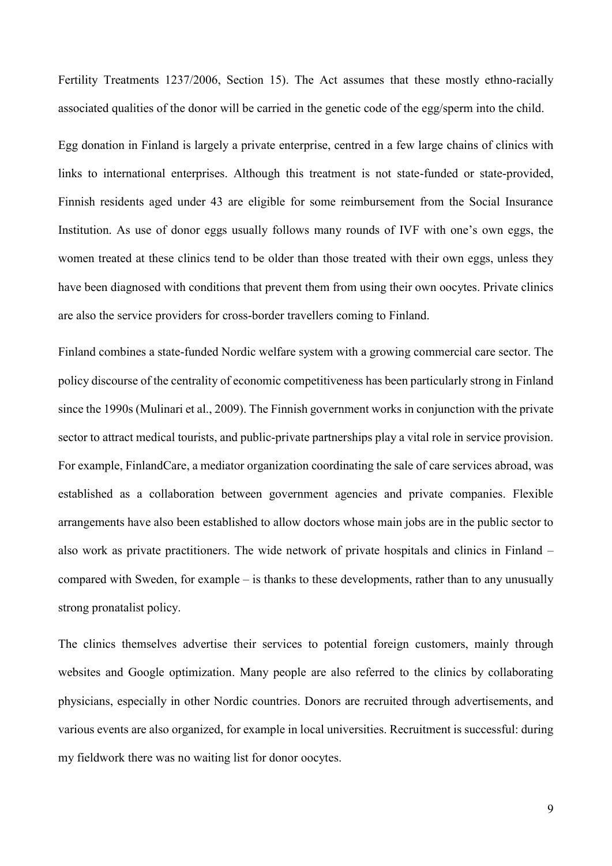Fertility Treatments 1237/2006, Section 15). The Act assumes that these mostly ethno-racially associated qualities of the donor will be carried in the genetic code of the egg/sperm into the child.

Egg donation in Finland is largely a private enterprise, centred in a few large chains of clinics with links to international enterprises. Although this treatment is not state-funded or state-provided, Finnish residents aged under 43 are eligible for some reimbursement from the Social Insurance Institution. As use of donor eggs usually follows many rounds of IVF with one's own eggs, the women treated at these clinics tend to be older than those treated with their own eggs, unless they have been diagnosed with conditions that prevent them from using their own oocytes. Private clinics are also the service providers for cross-border travellers coming to Finland.

Finland combines a state-funded Nordic welfare system with a growing commercial care sector. The policy discourse of the centrality of economic competitiveness has been particularly strong in Finland since the 1990s (Mulinari et al., 2009). The Finnish government works in conjunction with the private sector to attract medical tourists, and public-private partnerships play a vital role in service provision. For example, FinlandCare, a mediator organization coordinating the sale of care services abroad, was established as a collaboration between government agencies and private companies. Flexible arrangements have also been established to allow doctors whose main jobs are in the public sector to also work as private practitioners. The wide network of private hospitals and clinics in Finland – compared with Sweden, for example – is thanks to these developments, rather than to any unusually strong pronatalist policy.

The clinics themselves advertise their services to potential foreign customers, mainly through websites and Google optimization. Many people are also referred to the clinics by collaborating physicians, especially in other Nordic countries. Donors are recruited through advertisements, and various events are also organized, for example in local universities. Recruitment is successful: during my fieldwork there was no waiting list for donor oocytes.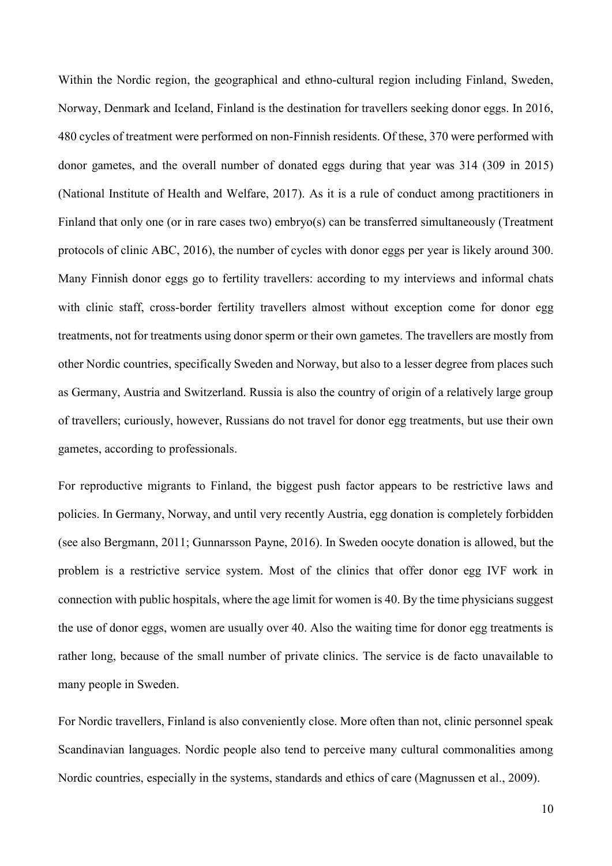Within the Nordic region, the geographical and ethno-cultural region including Finland, Sweden, Norway, Denmark and Iceland, Finland is the destination for travellers seeking donor eggs. In 2016, 480 cycles of treatment were performed on non-Finnish residents. Of these, 370 were performed with donor gametes, and the overall number of donated eggs during that year was 314 (309 in 2015) (National Institute of Health and Welfare, 2017). As it is a rule of conduct among practitioners in Finland that only one (or in rare cases two) embryo(s) can be transferred simultaneously (Treatment protocols of clinic ABC, 2016), the number of cycles with donor eggs per year is likely around 300. Many Finnish donor eggs go to fertility travellers: according to my interviews and informal chats with clinic staff, cross-border fertility travellers almost without exception come for donor egg treatments, not for treatments using donor sperm or their own gametes. The travellers are mostly from other Nordic countries, specifically Sweden and Norway, but also to a lesser degree from places such as Germany, Austria and Switzerland. Russia is also the country of origin of a relatively large group of travellers; curiously, however, Russians do not travel for donor egg treatments, but use their own gametes, according to professionals.

For reproductive migrants to Finland, the biggest push factor appears to be restrictive laws and policies. In Germany, Norway, and until very recently Austria, egg donation is completely forbidden (see also Bergmann, 2011; Gunnarsson Payne, 2016). In Sweden oocyte donation is allowed, but the problem is a restrictive service system. Most of the clinics that offer donor egg IVF work in connection with public hospitals, where the age limit for women is 40. By the time physicians suggest the use of donor eggs, women are usually over 40. Also the waiting time for donor egg treatments is rather long, because of the small number of private clinics. The service is de facto unavailable to many people in Sweden.

For Nordic travellers, Finland is also conveniently close. More often than not, clinic personnel speak Scandinavian languages. Nordic people also tend to perceive many cultural commonalities among Nordic countries, especially in the systems, standards and ethics of care (Magnussen et al., 2009).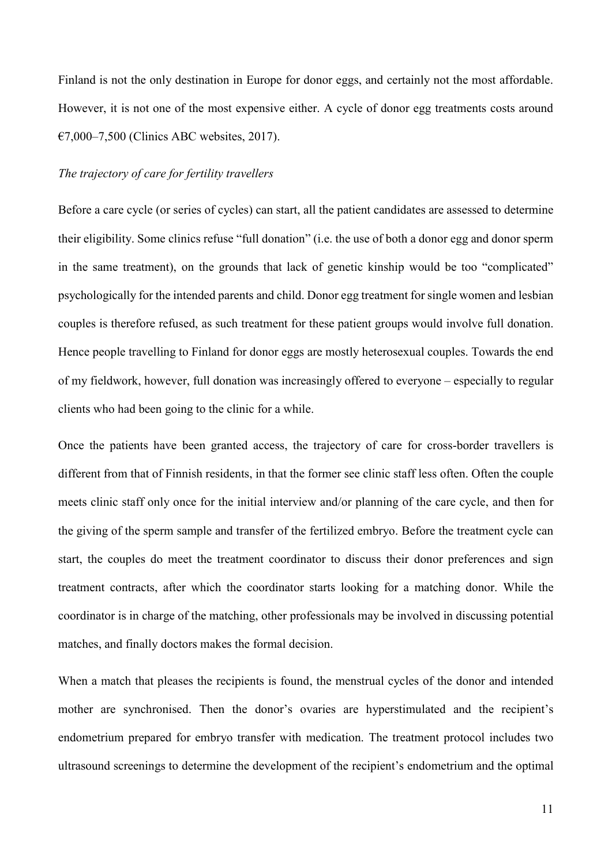Finland is not the only destination in Europe for donor eggs, and certainly not the most affordable. However, it is not one of the most expensive either. A cycle of donor egg treatments costs around €7,000–7,500 (Clinics ABC websites, 2017).

#### *The trajectory of care for fertility travellers*

Before a care cycle (or series of cycles) can start, all the patient candidates are assessed to determine their eligibility. Some clinics refuse "full donation" (i.e. the use of both a donor egg and donor sperm in the same treatment), on the grounds that lack of genetic kinship would be too "complicated" psychologically for the intended parents and child. Donor egg treatment for single women and lesbian couples is therefore refused, as such treatment for these patient groups would involve full donation. Hence people travelling to Finland for donor eggs are mostly heterosexual couples. Towards the end of my fieldwork, however, full donation was increasingly offered to everyone – especially to regular clients who had been going to the clinic for a while.

Once the patients have been granted access, the trajectory of care for cross-border travellers is different from that of Finnish residents, in that the former see clinic staff less often. Often the couple meets clinic staff only once for the initial interview and/or planning of the care cycle, and then for the giving of the sperm sample and transfer of the fertilized embryo. Before the treatment cycle can start, the couples do meet the treatment coordinator to discuss their donor preferences and sign treatment contracts, after which the coordinator starts looking for a matching donor. While the coordinator is in charge of the matching, other professionals may be involved in discussing potential matches, and finally doctors makes the formal decision.

When a match that pleases the recipients is found, the menstrual cycles of the donor and intended mother are synchronised. Then the donor's ovaries are hyperstimulated and the recipient's endometrium prepared for embryo transfer with medication. The treatment protocol includes two ultrasound screenings to determine the development of the recipient's endometrium and the optimal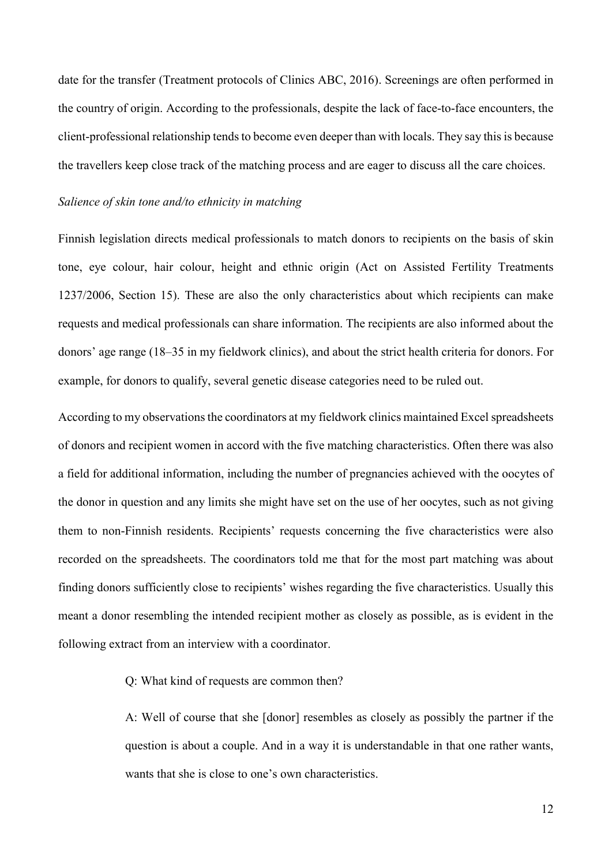date for the transfer (Treatment protocols of Clinics ABC, 2016). Screenings are often performed in the country of origin. According to the professionals, despite the lack of face-to-face encounters, the client-professional relationship tends to become even deeper than with locals. They say this is because the travellers keep close track of the matching process and are eager to discuss all the care choices.

#### *Salience of skin tone and/to ethnicity in matching*

Finnish legislation directs medical professionals to match donors to recipients on the basis of skin tone, eye colour, hair colour, height and ethnic origin (Act on Assisted Fertility Treatments 1237/2006, Section 15). These are also the only characteristics about which recipients can make requests and medical professionals can share information. The recipients are also informed about the donors' age range (18–35 in my fieldwork clinics), and about the strict health criteria for donors. For example, for donors to qualify, several genetic disease categories need to be ruled out.

According to my observations the coordinators at my fieldwork clinics maintained Excel spreadsheets of donors and recipient women in accord with the five matching characteristics. Often there was also a field for additional information, including the number of pregnancies achieved with the oocytes of the donor in question and any limits she might have set on the use of her oocytes, such as not giving them to non-Finnish residents. Recipients' requests concerning the five characteristics were also recorded on the spreadsheets. The coordinators told me that for the most part matching was about finding donors sufficiently close to recipients' wishes regarding the five characteristics. Usually this meant a donor resembling the intended recipient mother as closely as possible, as is evident in the following extract from an interview with a coordinator.

Q: What kind of requests are common then?

A: Well of course that she [donor] resembles as closely as possibly the partner if the question is about a couple. And in a way it is understandable in that one rather wants, wants that she is close to one's own characteristics.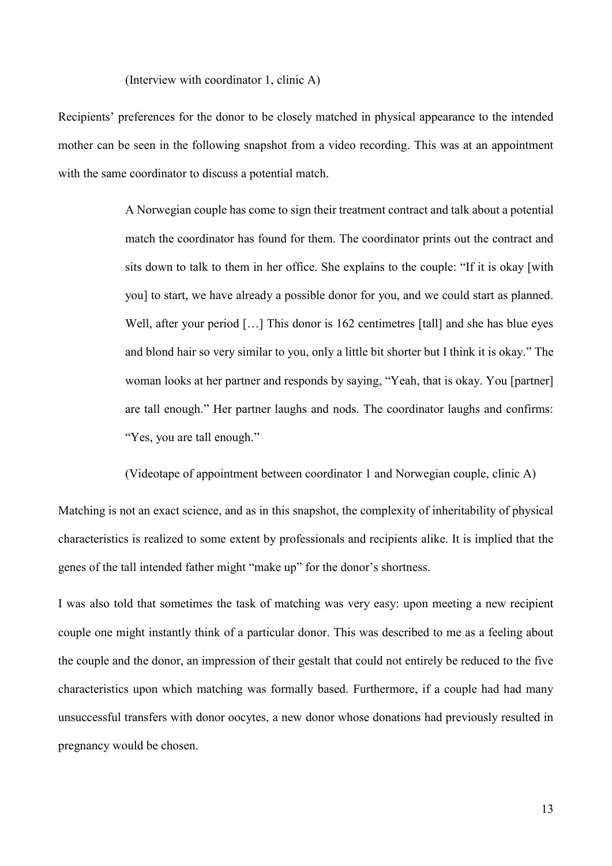(Interview with coordinator 1, clinic A)

Recipients' preferences for the donor to be closely matched in physical appearance to the intended mother can be seen in the following snapshot from a video recording. This was at an appointment with the same coordinator to discuss a potential match.

> A Norwegian couple has come to sign their treatment contract and talk about a potential match the coordinator has found for them. The coordinator prints out the contract and sits down to talk to them in her office. She explains to the couple: "If it is okay [with you] to start, we have already a possible donor for you, and we could start as planned. Well, after your period [...] This donor is 162 centimetres [tall] and she has blue eyes and blond hair so very similar to you, only a little bit shorter but I think it is okay." The woman looks at her partner and responds by saying, "Yeah, that is okay. You [partner] are tall enough." Her partner laughs and nods. The coordinator laughs and confirms: "Yes, you are tall enough."

(Videotape of appointment between coordinator 1 and Norwegian couple, clinic A)

Matching is not an exact science, and as in this snapshot, the complexity of inheritability of physical characteristics is realized to some extent by professionals and recipients alike. It is implied that the genes of the tall intended father might "make up" for the donor's shortness.

I was also told that sometimes the task of matching was very easy: upon meeting a new recipient couple one might instantly think of a particular donor. This was described to me as a feeling about the couple and the donor, an impression of their gestalt that could not entirely be reduced to the five characteristics upon which matching was formally based. Furthermore, if a couple had had many unsuccessful transfers with donor oocytes, a new donor whose donations had previously resulted in pregnancy would be chosen.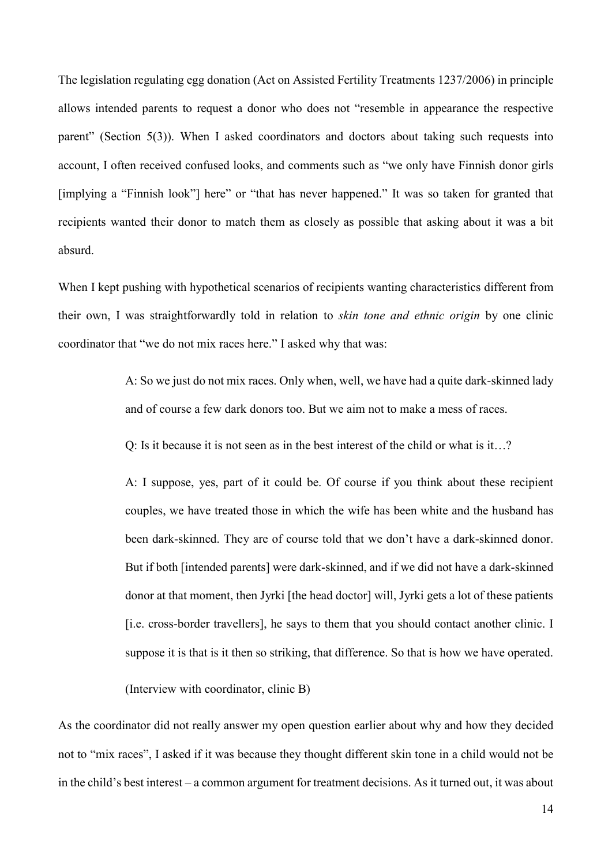The legislation regulating egg donation (Act on Assisted Fertility Treatments 1237/2006) in principle allows intended parents to request a donor who does not "resemble in appearance the respective parent" (Section 5(3)). When I asked coordinators and doctors about taking such requests into account, I often received confused looks, and comments such as "we only have Finnish donor girls [implying a "Finnish look"] here" or "that has never happened." It was so taken for granted that recipients wanted their donor to match them as closely as possible that asking about it was a bit absurd.

When I kept pushing with hypothetical scenarios of recipients wanting characteristics different from their own, I was straightforwardly told in relation to *skin tone and ethnic origin* by one clinic coordinator that "we do not mix races here." I asked why that was:

> A: So we just do not mix races. Only when, well, we have had a quite dark-skinned lady and of course a few dark donors too. But we aim not to make a mess of races.

Q: Is it because it is not seen as in the best interest of the child or what is it…?

A: I suppose, yes, part of it could be. Of course if you think about these recipient couples, we have treated those in which the wife has been white and the husband has been dark-skinned. They are of course told that we don't have a dark-skinned donor. But if both [intended parents] were dark-skinned, and if we did not have a dark-skinned donor at that moment, then Jyrki [the head doctor] will, Jyrki gets a lot of these patients [i.e. cross-border travellers], he says to them that you should contact another clinic. I suppose it is that is it then so striking, that difference. So that is how we have operated.

(Interview with coordinator, clinic B)

As the coordinator did not really answer my open question earlier about why and how they decided not to "mix races", I asked if it was because they thought different skin tone in a child would not be in the child's best interest – a common argument for treatment decisions. As it turned out, it was about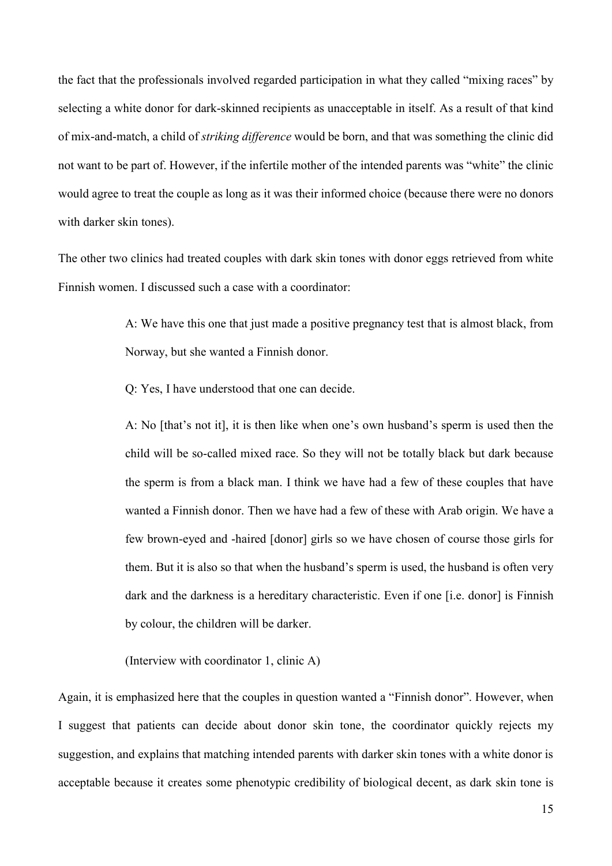the fact that the professionals involved regarded participation in what they called "mixing races" by selecting a white donor for dark-skinned recipients as unacceptable in itself. As a result of that kind of mix-and-match, a child of *striking difference* would be born, and that was something the clinic did not want to be part of. However, if the infertile mother of the intended parents was "white" the clinic would agree to treat the couple as long as it was their informed choice (because there were no donors with darker skin tones).

The other two clinics had treated couples with dark skin tones with donor eggs retrieved from white Finnish women. I discussed such a case with a coordinator:

> A: We have this one that just made a positive pregnancy test that is almost black, from Norway, but she wanted a Finnish donor.

Q: Yes, I have understood that one can decide.

A: No [that's not it], it is then like when one's own husband's sperm is used then the child will be so-called mixed race. So they will not be totally black but dark because the sperm is from a black man. I think we have had a few of these couples that have wanted a Finnish donor. Then we have had a few of these with Arab origin. We have a few brown-eyed and -haired [donor] girls so we have chosen of course those girls for them. But it is also so that when the husband's sperm is used, the husband is often very dark and the darkness is a hereditary characteristic. Even if one [i.e. donor] is Finnish by colour, the children will be darker.

(Interview with coordinator 1, clinic A)

Again, it is emphasized here that the couples in question wanted a "Finnish donor". However, when I suggest that patients can decide about donor skin tone, the coordinator quickly rejects my suggestion, and explains that matching intended parents with darker skin tones with a white donor is acceptable because it creates some phenotypic credibility of biological decent, as dark skin tone is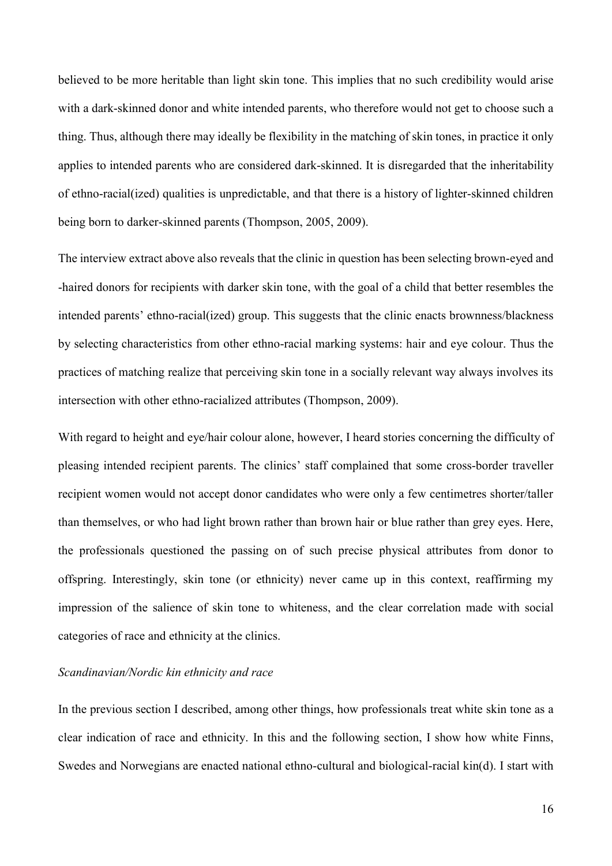believed to be more heritable than light skin tone. This implies that no such credibility would arise with a dark-skinned donor and white intended parents, who therefore would not get to choose such a thing. Thus, although there may ideally be flexibility in the matching of skin tones, in practice it only applies to intended parents who are considered dark-skinned. It is disregarded that the inheritability of ethno-racial(ized) qualities is unpredictable, and that there is a history of lighter-skinned children being born to darker-skinned parents (Thompson, 2005, 2009).

The interview extract above also reveals that the clinic in question has been selecting brown-eyed and -haired donors for recipients with darker skin tone, with the goal of a child that better resembles the intended parents' ethno-racial(ized) group. This suggests that the clinic enacts brownness/blackness by selecting characteristics from other ethno-racial marking systems: hair and eye colour. Thus the practices of matching realize that perceiving skin tone in a socially relevant way always involves its intersection with other ethno-racialized attributes (Thompson, 2009).

With regard to height and eye/hair colour alone, however, I heard stories concerning the difficulty of pleasing intended recipient parents. The clinics' staff complained that some cross-border traveller recipient women would not accept donor candidates who were only a few centimetres shorter/taller than themselves, or who had light brown rather than brown hair or blue rather than grey eyes. Here, the professionals questioned the passing on of such precise physical attributes from donor to offspring. Interestingly, skin tone (or ethnicity) never came up in this context, reaffirming my impression of the salience of skin tone to whiteness, and the clear correlation made with social categories of race and ethnicity at the clinics.

# *Scandinavian/Nordic kin ethnicity and race*

In the previous section I described, among other things, how professionals treat white skin tone as a clear indication of race and ethnicity. In this and the following section, I show how white Finns, Swedes and Norwegians are enacted national ethno-cultural and biological-racial kin(d). I start with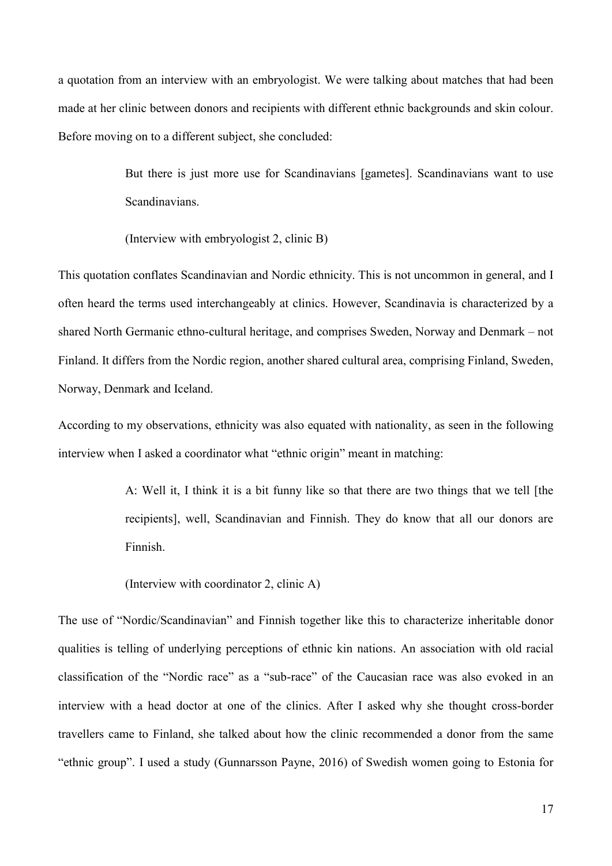a quotation from an interview with an embryologist. We were talking about matches that had been made at her clinic between donors and recipients with different ethnic backgrounds and skin colour. Before moving on to a different subject, she concluded:

> But there is just more use for Scandinavians [gametes]. Scandinavians want to use Scandinavians.

(Interview with embryologist 2, clinic B)

This quotation conflates Scandinavian and Nordic ethnicity. This is not uncommon in general, and I often heard the terms used interchangeably at clinics. However, Scandinavia is characterized by a shared North Germanic ethno-cultural heritage, and comprises Sweden, Norway and Denmark – not Finland. It differs from the Nordic region, another shared cultural area, comprising Finland, Sweden, Norway, Denmark and Iceland.

According to my observations, ethnicity was also equated with nationality, as seen in the following interview when I asked a coordinator what "ethnic origin" meant in matching:

> A: Well it, I think it is a bit funny like so that there are two things that we tell [the recipients], well, Scandinavian and Finnish. They do know that all our donors are Finnish.

(Interview with coordinator 2, clinic A)

The use of "Nordic/Scandinavian" and Finnish together like this to characterize inheritable donor qualities is telling of underlying perceptions of ethnic kin nations. An association with old racial classification of the "Nordic race" as a "sub-race" of the Caucasian race was also evoked in an interview with a head doctor at one of the clinics. After I asked why she thought cross-border travellers came to Finland, she talked about how the clinic recommended a donor from the same "ethnic group". I used a study (Gunnarsson Payne, 2016) of Swedish women going to Estonia for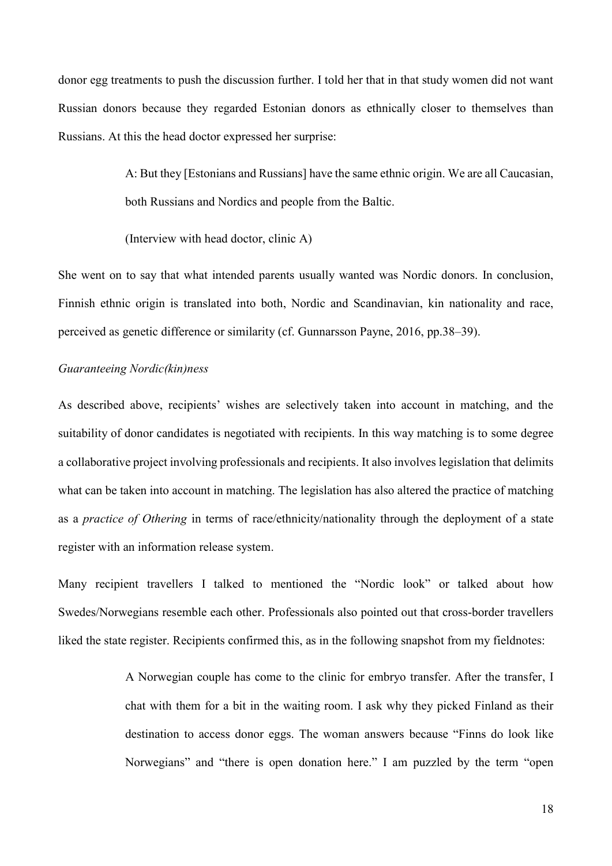donor egg treatments to push the discussion further. I told her that in that study women did not want Russian donors because they regarded Estonian donors as ethnically closer to themselves than Russians. At this the head doctor expressed her surprise:

> A: But they [Estonians and Russians] have the same ethnic origin. We are all Caucasian, both Russians and Nordics and people from the Baltic.

(Interview with head doctor, clinic A)

She went on to say that what intended parents usually wanted was Nordic donors. In conclusion, Finnish ethnic origin is translated into both, Nordic and Scandinavian, kin nationality and race, perceived as genetic difference or similarity (cf. Gunnarsson Payne, 2016, pp.38–39).

## *Guaranteeing Nordic(kin)ness*

As described above, recipients' wishes are selectively taken into account in matching, and the suitability of donor candidates is negotiated with recipients. In this way matching is to some degree a collaborative project involving professionals and recipients. It also involves legislation that delimits what can be taken into account in matching. The legislation has also altered the practice of matching as a *practice of Othering* in terms of race/ethnicity/nationality through the deployment of a state register with an information release system.

Many recipient travellers I talked to mentioned the "Nordic look" or talked about how Swedes/Norwegians resemble each other. Professionals also pointed out that cross-border travellers liked the state register. Recipients confirmed this, as in the following snapshot from my fieldnotes:

> A Norwegian couple has come to the clinic for embryo transfer. After the transfer, I chat with them for a bit in the waiting room. I ask why they picked Finland as their destination to access donor eggs. The woman answers because "Finns do look like Norwegians" and "there is open donation here." I am puzzled by the term "open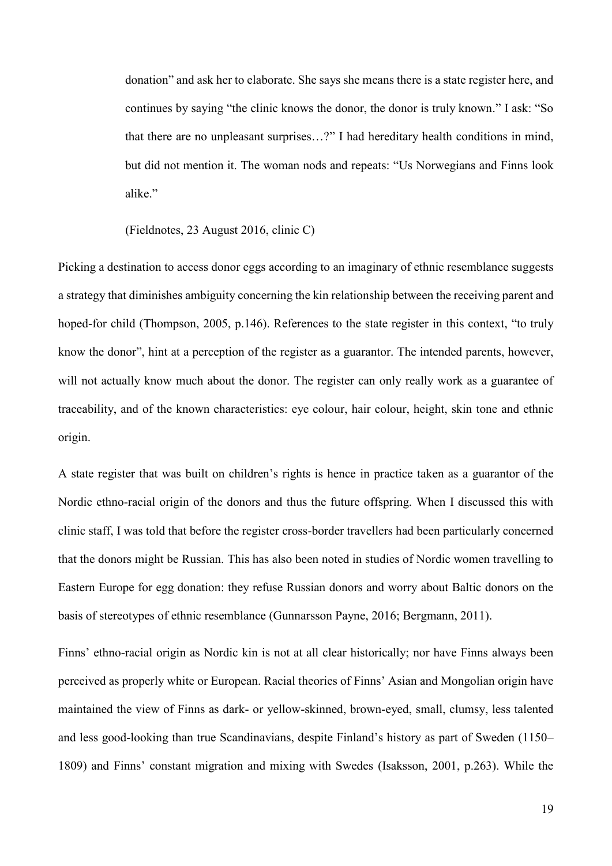donation" and ask her to elaborate. She says she means there is a state register here, and continues by saying "the clinic knows the donor, the donor is truly known." I ask: "So that there are no unpleasant surprises…?" I had hereditary health conditions in mind, but did not mention it. The woman nods and repeats: "Us Norwegians and Finns look alike."

#### (Fieldnotes, 23 August 2016, clinic C)

Picking a destination to access donor eggs according to an imaginary of ethnic resemblance suggests a strategy that diminishes ambiguity concerning the kin relationship between the receiving parent and hoped-for child (Thompson, 2005, p.146). References to the state register in this context, "to truly know the donor", hint at a perception of the register as a guarantor. The intended parents, however, will not actually know much about the donor. The register can only really work as a guarantee of traceability, and of the known characteristics: eye colour, hair colour, height, skin tone and ethnic origin.

A state register that was built on children's rights is hence in practice taken as a guarantor of the Nordic ethno-racial origin of the donors and thus the future offspring. When I discussed this with clinic staff, I was told that before the register cross-border travellers had been particularly concerned that the donors might be Russian. This has also been noted in studies of Nordic women travelling to Eastern Europe for egg donation: they refuse Russian donors and worry about Baltic donors on the basis of stereotypes of ethnic resemblance (Gunnarsson Payne, 2016; Bergmann, 2011).

Finns' ethno-racial origin as Nordic kin is not at all clear historically; nor have Finns always been perceived as properly white or European. Racial theories of Finns' Asian and Mongolian origin have maintained the view of Finns as dark- or yellow-skinned, brown-eyed, small, clumsy, less talented and less good-looking than true Scandinavians, despite Finland's history as part of Sweden (1150– 1809) and Finns' constant migration and mixing with Swedes (Isaksson, 2001, p.263). While the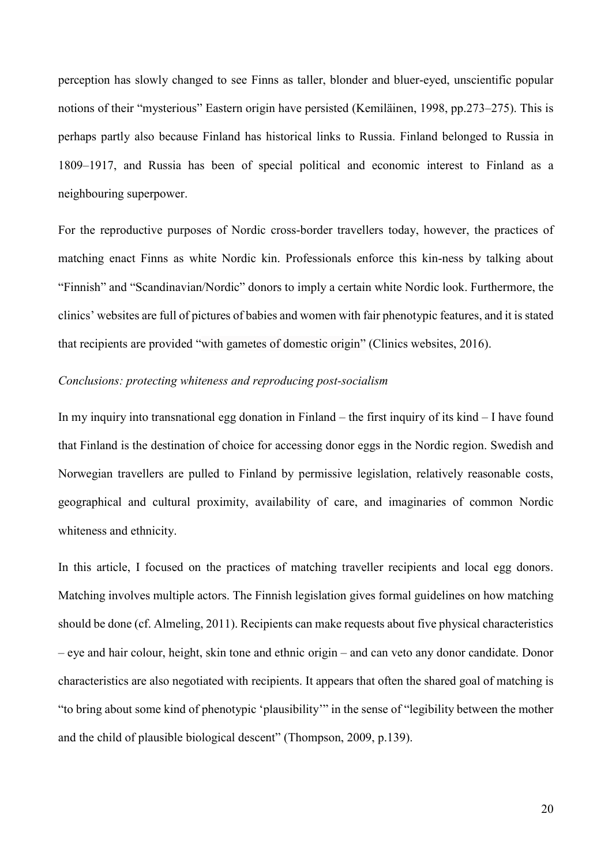perception has slowly changed to see Finns as taller, blonder and bluer-eyed, unscientific popular notions of their "mysterious" Eastern origin have persisted (Kemiläinen, 1998, pp.273–275). This is perhaps partly also because Finland has historical links to Russia. Finland belonged to Russia in 1809–1917, and Russia has been of special political and economic interest to Finland as a neighbouring superpower.

For the reproductive purposes of Nordic cross-border travellers today, however, the practices of matching enact Finns as white Nordic kin. Professionals enforce this kin-ness by talking about "Finnish" and "Scandinavian/Nordic" donors to imply a certain white Nordic look. Furthermore, the clinics' websites are full of pictures of babies and women with fair phenotypic features, and it is stated that recipients are provided "with gametes of domestic origin" (Clinics websites, 2016).

### *Conclusions: protecting whiteness and reproducing post-socialism*

In my inquiry into transnational egg donation in Finland – the first inquiry of its kind – I have found that Finland is the destination of choice for accessing donor eggs in the Nordic region. Swedish and Norwegian travellers are pulled to Finland by permissive legislation, relatively reasonable costs, geographical and cultural proximity, availability of care, and imaginaries of common Nordic whiteness and ethnicity.

In this article, I focused on the practices of matching traveller recipients and local egg donors. Matching involves multiple actors. The Finnish legislation gives formal guidelines on how matching should be done (cf. Almeling, 2011). Recipients can make requests about five physical characteristics – eye and hair colour, height, skin tone and ethnic origin – and can veto any donor candidate. Donor characteristics are also negotiated with recipients. It appears that often the shared goal of matching is "to bring about some kind of phenotypic 'plausibility'" in the sense of "legibility between the mother and the child of plausible biological descent" (Thompson, 2009, p.139).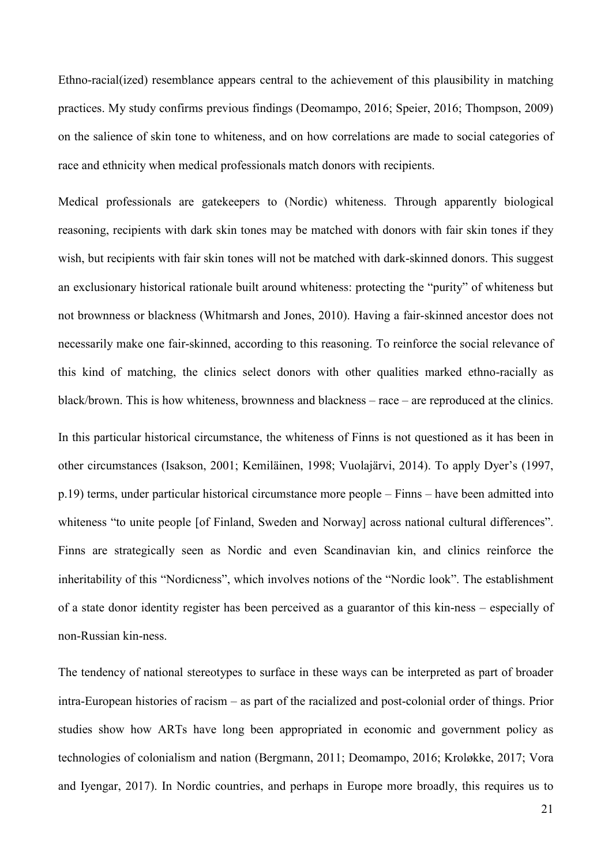Ethno-racial(ized) resemblance appears central to the achievement of this plausibility in matching practices. My study confirms previous findings (Deomampo, 2016; Speier, 2016; Thompson, 2009) on the salience of skin tone to whiteness, and on how correlations are made to social categories of race and ethnicity when medical professionals match donors with recipients.

Medical professionals are gatekeepers to (Nordic) whiteness. Through apparently biological reasoning, recipients with dark skin tones may be matched with donors with fair skin tones if they wish, but recipients with fair skin tones will not be matched with dark-skinned donors. This suggest an exclusionary historical rationale built around whiteness: protecting the "purity" of whiteness but not brownness or blackness (Whitmarsh and Jones, 2010). Having a fair-skinned ancestor does not necessarily make one fair-skinned, according to this reasoning. To reinforce the social relevance of this kind of matching, the clinics select donors with other qualities marked ethno-racially as black/brown. This is how whiteness, brownness and blackness – race – are reproduced at the clinics.

In this particular historical circumstance, the whiteness of Finns is not questioned as it has been in other circumstances (Isakson, 2001; Kemiläinen, 1998; Vuolajärvi, 2014). To apply Dyer's (1997, p.19) terms, under particular historical circumstance more people – Finns – have been admitted into whiteness "to unite people [of Finland, Sweden and Norway] across national cultural differences". Finns are strategically seen as Nordic and even Scandinavian kin, and clinics reinforce the inheritability of this "Nordicness", which involves notions of the "Nordic look". The establishment of a state donor identity register has been perceived as a guarantor of this kin-ness – especially of non-Russian kin-ness.

The tendency of national stereotypes to surface in these ways can be interpreted as part of broader intra-European histories of racism – as part of the racialized and post-colonial order of things. Prior studies show how ARTs have long been appropriated in economic and government policy as technologies of colonialism and nation (Bergmann, 2011; Deomampo, 2016; Kroløkke, 2017; Vora and Iyengar, 2017). In Nordic countries, and perhaps in Europe more broadly, this requires us to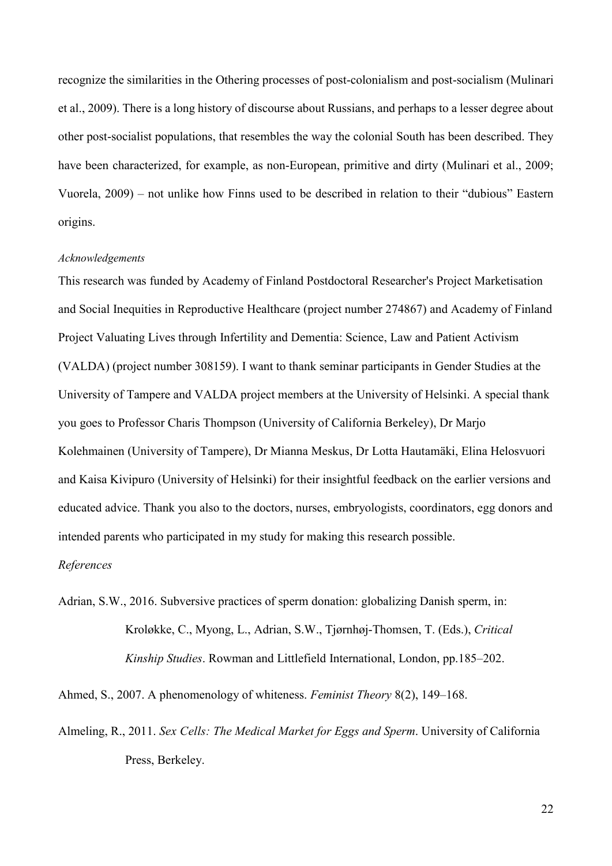recognize the similarities in the Othering processes of post-colonialism and post-socialism (Mulinari et al., 2009). There is a long history of discourse about Russians, and perhaps to a lesser degree about other post-socialist populations, that resembles the way the colonial South has been described. They have been characterized, for example, as non-European, primitive and dirty (Mulinari et al., 2009; Vuorela, 2009) – not unlike how Finns used to be described in relation to their "dubious" Eastern origins.

#### *Acknowledgements*

This research was funded by Academy of Finland Postdoctoral Researcher's Project Marketisation and Social Inequities in Reproductive Healthcare (project number 274867) and Academy of Finland Project Valuating Lives through Infertility and Dementia: Science, Law and Patient Activism (VALDA) (project number 308159). I want to thank seminar participants in Gender Studies at the University of Tampere and VALDA project members at the University of Helsinki. A special thank you goes to Professor Charis Thompson (University of California Berkeley), Dr Marjo Kolehmainen (University of Tampere), Dr Mianna Meskus, Dr Lotta Hautamäki, Elina Helosvuori and Kaisa Kivipuro (University of Helsinki) for their insightful feedback on the earlier versions and educated advice. Thank you also to the doctors, nurses, embryologists, coordinators, egg donors and intended parents who participated in my study for making this research possible.

# *References*

Adrian, S.W., 2016. Subversive practices of sperm donation: globalizing Danish sperm, in: Kroløkke, C., Myong, L., Adrian, S.W., Tjørnhøj-Thomsen, T. (Eds.), *Critical Kinship Studies*. Rowman and Littlefield International, London, pp.185–202.

Ahmed, S., 2007. A phenomenology of whiteness. *Feminist Theory* 8(2), 149–168.

Almeling, R., 2011. *Sex Cells: The Medical Market for Eggs and Sperm*. University of California Press, Berkeley.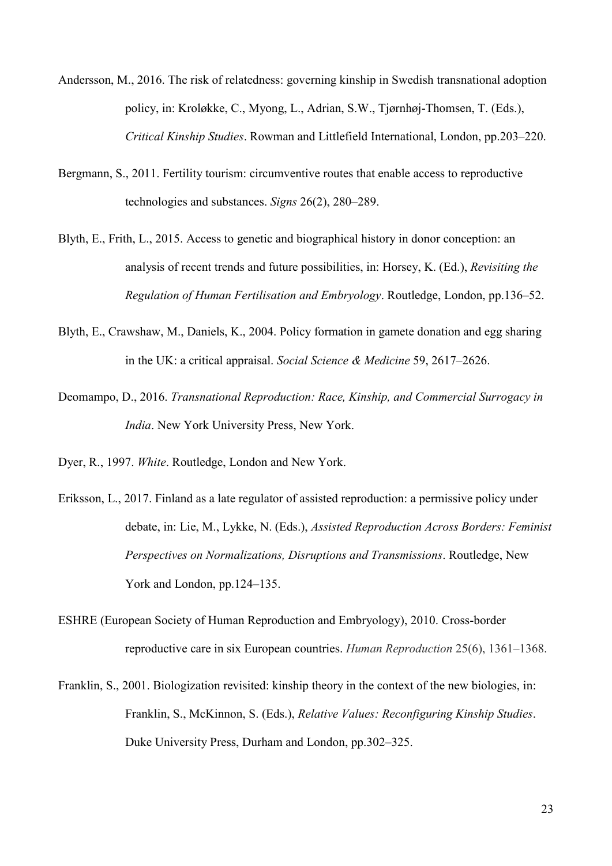- Andersson, M., 2016. The risk of relatedness: governing kinship in Swedish transnational adoption policy, in: Kroløkke, C., Myong, L., Adrian, S.W., Tjørnhøj-Thomsen, T. (Eds.), *Critical Kinship Studies*. Rowman and Littlefield International, London, pp.203–220.
- Bergmann, S., 2011. Fertility tourism: circumventive routes that enable access to reproductive technologies and substances. *Signs* 26(2), 280–289.
- Blyth, E., Frith, L., 2015. Access to genetic and biographical history in donor conception: an analysis of recent trends and future possibilities, in: Horsey, K. (Ed.), *Revisiting the Regulation of Human Fertilisation and Embryology*. Routledge, London, pp.136–52.
- Blyth, E., Crawshaw, M., Daniels, K., 2004. Policy formation in gamete donation and egg sharing in the UK: a critical appraisal. *Social Science & Medicine* 59, 2617–2626.
- Deomampo, D., 2016. *Transnational Reproduction: Race, Kinship, and Commercial Surrogacy in India*. New York University Press, New York.
- Dyer, R., 1997. *White*. Routledge, London and New York.
- Eriksson, L., 2017. Finland as a late regulator of assisted reproduction: a permissive policy under debate, in: Lie, M., Lykke, N. (Eds.), *Assisted Reproduction Across Borders: Feminist Perspectives on Normalizations, Disruptions and Transmissions*. Routledge, New York and London, pp.124–135.
- ESHRE (European Society of Human Reproduction and Embryology), 2010. Cross-border reproductive care in six European countries. *Human Reproduction* 25(6), 1361–1368.
- Franklin, S., 2001. Biologization revisited: kinship theory in the context of the new biologies, in: Franklin, S., McKinnon, S. (Eds.), *Relative Values: Reconfiguring Kinship Studies*. Duke University Press, Durham and London, pp.302–325.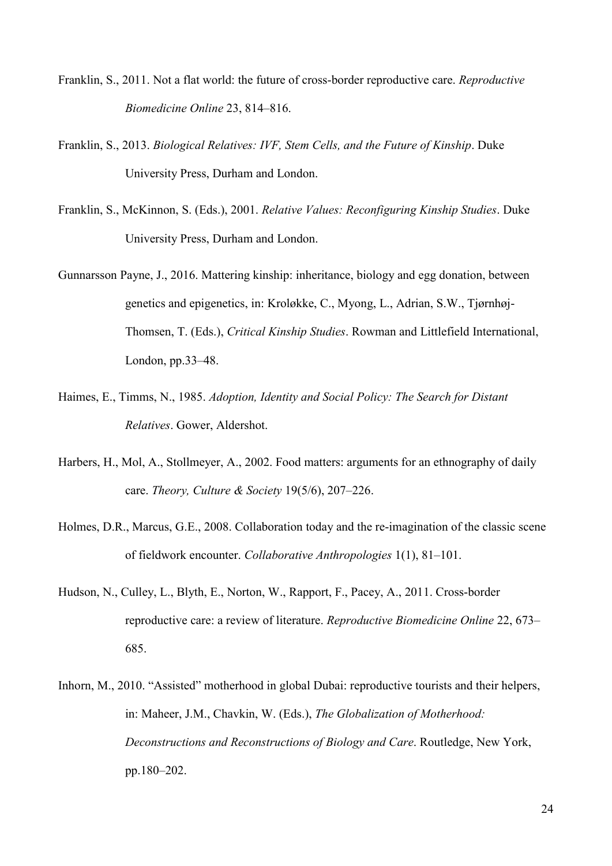- Franklin, S., 2011. Not a flat world: the future of cross-border reproductive care. *Reproductive Biomedicine Online* 23, 814–816.
- Franklin, S., 2013. *Biological Relatives: IVF, Stem Cells, and the Future of Kinship*. Duke University Press, Durham and London.
- Franklin, S., McKinnon, S. (Eds.), 2001. *Relative Values: Reconfiguring Kinship Studies*. Duke University Press, Durham and London.
- Gunnarsson Payne, J., 2016. Mattering kinship: inheritance, biology and egg donation, between genetics and epigenetics, in: Kroløkke, C., Myong, L., Adrian, S.W., Tjørnhøj-Thomsen, T. (Eds.), *Critical Kinship Studies*. Rowman and Littlefield International, London, pp.33–48.
- Haimes, E., Timms, N., 1985. *Adoption, Identity and Social Policy: The Search for Distant Relatives*. Gower, Aldershot.
- Harbers, H., Mol, A., Stollmeyer, A., 2002. Food matters: arguments for an ethnography of daily care. *Theory, Culture & Society* 19(5/6), 207–226.
- Holmes, D.R., Marcus, G.E., 2008. Collaboration today and the re-imagination of the classic scene of fieldwork encounter. *Collaborative Anthropologies* 1(1), 81–101.
- Hudson, N., Culley, L., Blyth, E., Norton, W., Rapport, F., Pacey, A., 2011. Cross-border reproductive care: a review of literature. *Reproductive Biomedicine Online* 22, 673– 685.
- Inhorn, M., 2010. "Assisted" motherhood in global Dubai: reproductive tourists and their helpers, in: Maheer, J.M., Chavkin, W. (Eds.), *The Globalization of Motherhood: Deconstructions and Reconstructions of Biology and Care*. Routledge, New York, pp.180–202.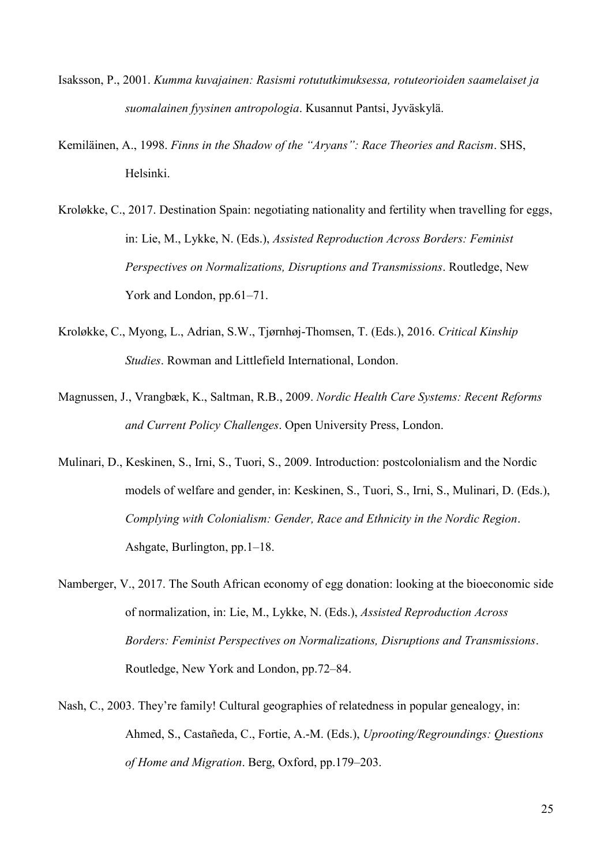- Isaksson, P., 2001. *Kumma kuvajainen: Rasismi rotututkimuksessa, rotuteorioiden saamelaiset ja suomalainen fyysinen antropologia*. Kusannut Pantsi, Jyväskylä.
- Kemiläinen, A., 1998. *Finns in the Shadow of the "Aryans": Race Theories and Racism*. SHS, Helsinki.
- Kroløkke, C., 2017. Destination Spain: negotiating nationality and fertility when travelling for eggs, in: Lie, M., Lykke, N. (Eds.), *Assisted Reproduction Across Borders: Feminist Perspectives on Normalizations, Disruptions and Transmissions*. Routledge, New York and London, pp.61–71.
- Kroløkke, C., Myong, L., Adrian, S.W., Tjørnhøj-Thomsen, T. (Eds.), 2016. *Critical Kinship Studies*. Rowman and Littlefield International, London.
- Magnussen, J., Vrangbæk, K., Saltman, R.B., 2009. *Nordic Health Care Systems: Recent Reforms and Current Policy Challenges*. Open University Press, London.
- Mulinari, D., Keskinen, S., Irni, S., Tuori, S., 2009. Introduction: postcolonialism and the Nordic models of welfare and gender, in: Keskinen, S., Tuori, S., Irni, S., Mulinari, D. (Eds.), *Complying with Colonialism: Gender, Race and Ethnicity in the Nordic Region*. Ashgate, Burlington, pp.1–18.
- Namberger, V., 2017. The South African economy of egg donation: looking at the bioeconomic side of normalization, in: Lie, M., Lykke, N. (Eds.), *Assisted Reproduction Across Borders: Feminist Perspectives on Normalizations, Disruptions and Transmissions*. Routledge, New York and London, pp.72–84.
- Nash, C., 2003. They're family! Cultural geographies of relatedness in popular genealogy, in: Ahmed, S., Castañeda, C., Fortie, A.-M. (Eds.), *Uprooting/Regroundings: Questions of Home and Migration*. Berg, Oxford, pp.179–203.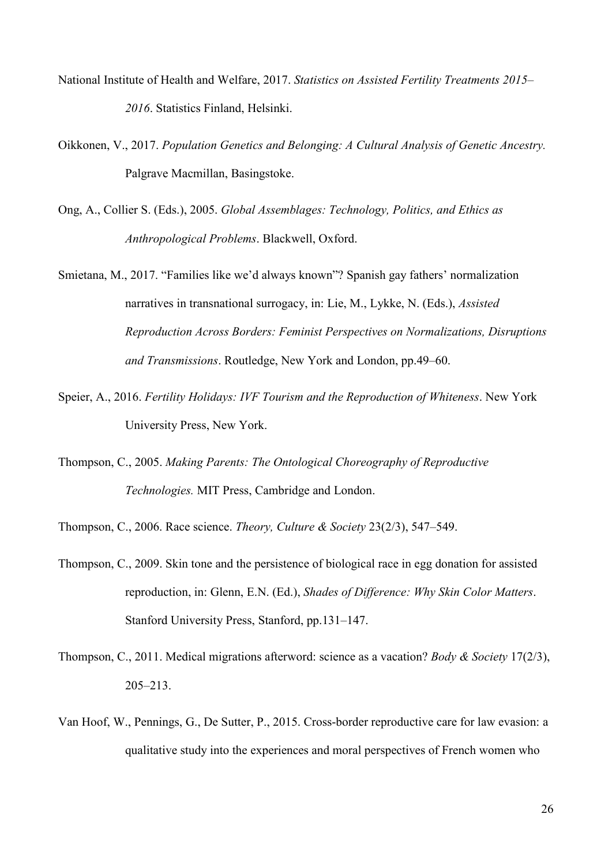- National Institute of Health and Welfare, 2017. *Statistics on Assisted Fertility Treatments 2015– 2016*. Statistics Finland, Helsinki.
- Oikkonen, V., 2017. *Population Genetics and Belonging: A Cultural Analysis of Genetic Ancestry.* Palgrave Macmillan, Basingstoke.
- Ong, A., Collier S. (Eds.), 2005. *Global Assemblages: Technology, Politics, and Ethics as Anthropological Problems*. Blackwell, Oxford.
- Smietana, M., 2017. "Families like we'd always known"? Spanish gay fathers' normalization narratives in transnational surrogacy, in: Lie, M., Lykke, N. (Eds.), *Assisted Reproduction Across Borders: Feminist Perspectives on Normalizations, Disruptions and Transmissions*. Routledge, New York and London, pp.49–60.
- Speier, A., 2016. *Fertility Holidays: IVF Tourism and the Reproduction of Whiteness*. New York University Press, New York.
- Thompson, C., 2005. *Making Parents: The Ontological Choreography of Reproductive Technologies.* MIT Press, Cambridge and London.

Thompson, C., 2006. Race science. *Theory, Culture & Society* 23(2/3), 547–549.

- Thompson, C., 2009. Skin tone and the persistence of biological race in egg donation for assisted reproduction, in: Glenn, E.N. (Ed.), *Shades of Difference: Why Skin Color Matters*. Stanford University Press, Stanford, pp.131–147.
- Thompson, C., 2011. Medical migrations afterword: science as a vacation? *Body & Society* 17(2/3), 205–213.
- Van Hoof, W., Pennings, G., De Sutter, P., 2015. Cross-border reproductive care for law evasion: a qualitative study into the experiences and moral perspectives of French women who